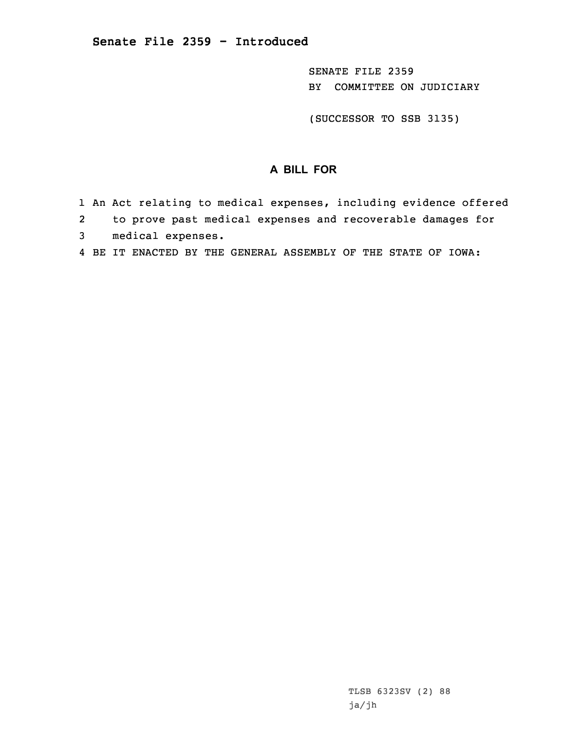SENATE FILE 2359 BY COMMITTEE ON JUDICIARY

(SUCCESSOR TO SSB 3135)

## **A BILL FOR**

- 1 An Act relating to medical expenses, including evidence offered
- 2 to prove past medical expenses and recoverable damages for 3 medical expenses.
- 4 BE IT ENACTED BY THE GENERAL ASSEMBLY OF THE STATE OF IOWA: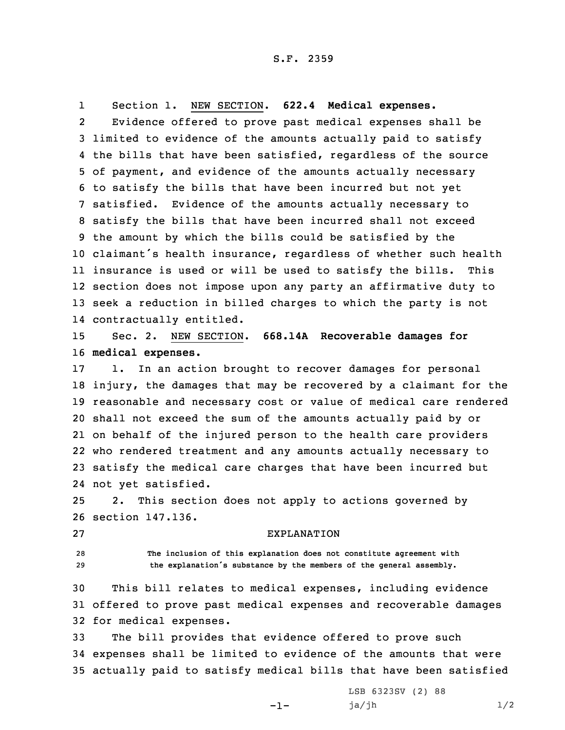1Section 1. NEW SECTION. **622.4 Medical expenses.**

2 Evidence offered to prove past medical expenses shall be limited to evidence of the amounts actually paid to satisfy the bills that have been satisfied, regardless of the source of payment, and evidence of the amounts actually necessary to satisfy the bills that have been incurred but not yet satisfied. Evidence of the amounts actually necessary to satisfy the bills that have been incurred shall not exceed the amount by which the bills could be satisfied by the claimant's health insurance, regardless of whether such health insurance is used or will be used to satisfy the bills. This section does not impose upon any party an affirmative duty to seek <sup>a</sup> reduction in billed charges to which the party is not contractually entitled.

15 Sec. 2. NEW SECTION. **668.14A Recoverable damages for** 16 **medical expenses.**

 1. In an action brought to recover damages for personal injury, the damages that may be recovered by <sup>a</sup> claimant for the reasonable and necessary cost or value of medical care rendered shall not exceed the sum of the amounts actually paid by or on behalf of the injured person to the health care providers who rendered treatment and any amounts actually necessary to satisfy the medical care charges that have been incurred but not yet satisfied.

25 2. This section does not apply to actions governed by 26 section 147.136.

27 EXPLANATION

28 **The inclusion of this explanation does not constitute agreement with** <sup>29</sup> **the explanation's substance by the members of the general assembly.**

30 This bill relates to medical expenses, including evidence 31 offered to prove past medical expenses and recoverable damages 32 for medical expenses.

33 The bill provides that evidence offered to prove such 34 expenses shall be limited to evidence of the amounts that were 35 actually paid to satisfy medical bills that have been satisfied

-1-

LSB 6323SV (2) 88  $ja/jh$   $1/2$